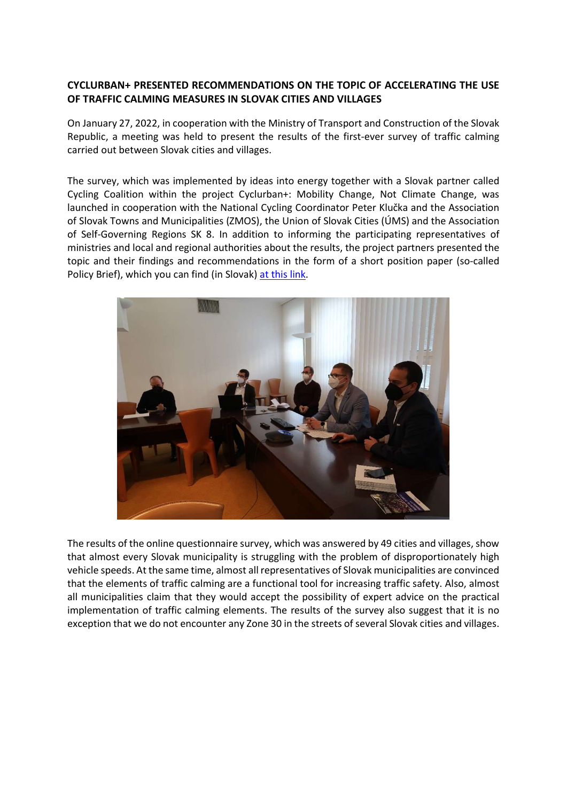## CYCLURBAN+ PRESENTED RECOMMENDATIONS ON THE TOPIC OF ACCELERATING THE USE OF TRAFFIC CALMING MEASURES IN SLOVAK CITIES AND VILLAGES

On January 27, 2022, in cooperation with the Ministry of Transport and Construction of the Slovak Republic, a meeting was held to present the results of the first-ever survey of traffic calming carried out between Slovak cities and villages.

The survey, which was implemented by ideas into energy together with a Slovak partner called Cycling Coalition within the project Cyclurban+: Mobility Change, Not Climate Change, was launched in cooperation with the National Cycling Coordinator Peter Klučka and the Association of Slovak Towns and Municipalities (ZMOS), the Union of Slovak Cities (ÚMS) and the Association of Self-Governing Regions SK 8. In addition to informing the participating representatives of ministries and local and regional authorities about the results, the project partners presented the topic and their findings and recommendations in the form of a short position paper (so-called Policy Brief), which you can find (in Slovak) at this link.



The results of the online questionnaire survey, which was answered by 49 cities and villages, show that almost every Slovak municipality is struggling with the problem of disproportionately high vehicle speeds. At the same time, almost all representatives of Slovak municipalities are convinced that the elements of traffic calming are a functional tool for increasing traffic safety. Also, almost all municipalities claim that they would accept the possibility of expert advice on the practical implementation of traffic calming elements. The results of the survey also suggest that it is no exception that we do not encounter any Zone 30 in the streets of several Slovak cities and villages.